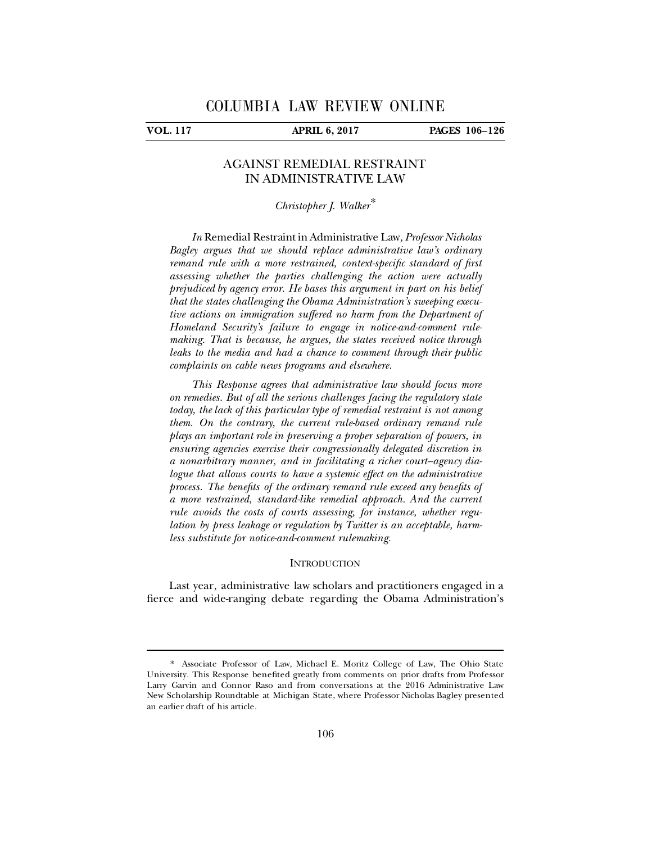ı

**VOL. 117 APRIL 6, 2017 PAGES 106–126**

## AGAINST REMEDIAL RESTRAINT IN ADMINISTRATIVE LAW

# *Christopher J. Walker*[\\*](#page-0-0)

*In* Remedial Restraint in Administrative Law*, Professor Nicholas Bagley argues that we should replace administrative law's ordinary remand rule with a more restrained, context-specific standard of first assessing whether the parties challenging the action were actually prejudiced by agency error. He bases this argument in part on his belief that the states challenging the Obama Administration's sweeping executive actions on immigration suffered no harm from the Department of Homeland Security's failure to engage in notice-and-comment rulemaking. That is because, he argues, the states received notice through leaks to the media and had a chance to comment through their public complaints on cable news programs and elsewhere.*

*This Response agrees that administrative law should focus more on remedies. But of all the serious challenges facing the regulatory state today, the lack of this particular type of remedial restraint is not among them. On the contrary, the current rule-based ordinary remand rule plays an important role in preserving a proper separation of powers, in ensuring agencies exercise their congressionally delegated discretion in a nonarbitrary manner, and in facilitating a richer court–agency dialogue that allows courts to have a systemic effect on the administrative process. The benefits of the ordinary remand rule exceed any benefits of a more restrained, standard-like remedial approach. And the current rule avoids the costs of courts assessing, for instance, whether regulation by press leakage or regulation by Twitter is an acceptable, harmless substitute for notice-and-comment rulemaking.*

### **INTRODUCTION**

Last year, administrative law scholars and practitioners engaged in a fierce and wide-ranging debate regarding the Obama Administration's

<span id="page-0-0"></span><sup>\*.</sup> Associate Professor of Law, Michael E. Moritz College of Law, The Ohio State University. This Response benefited greatly from comments on prior drafts from Professor Larry Garvin and Connor Raso and from conversations at the 2016 Administrative Law New Scholarship Roundtable at Michigan State, where Professor Nicholas Bagley presented an earlier draft of his article.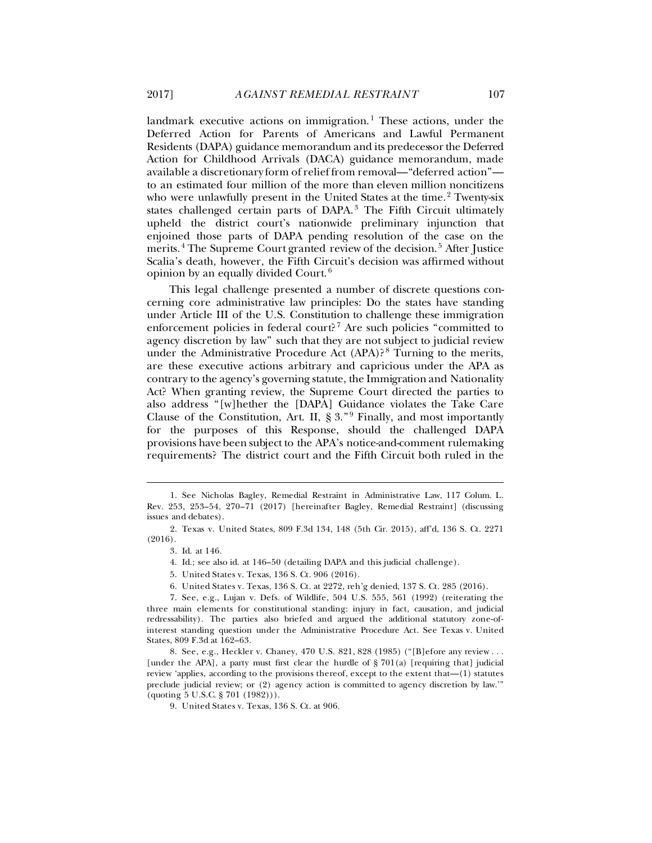landmark executive actions on immigration.<sup>[1](#page-1-0)</sup> These actions, under the Deferred Action for Parents of Americans and Lawful Permanent Residents (DAPA) guidance memorandum and its predecessor the Deferred Action for Childhood Arrivals (DACA) guidance memorandum, made available a discretionary form of relief from removal—"deferred action" to an estimated four million of the more than eleven million noncitizens who were unlawfully present in the United States at the time.<sup>[2](#page-1-1)</sup> Twenty-six states challenged certain parts of DAPA.<sup>[3](#page-1-2)</sup> The Fifth Circuit ultimately upheld the district court's nationwide preliminary injunction that enjoined those parts of DAPA pending resolution of the case on the merits.<sup>[4](#page-1-3)</sup> The Supreme Court granted review of the decision.<sup>[5](#page-1-4)</sup> After Justice Scalia's death, however, the Fifth Circuit's decision was affirmed without opinion by an equally divided Court. $^6$  $^6$ 

This legal challenge presented a number of discrete questions concerning core administrative law principles: Do the states have standing under Article III of the U.S. Constitution to challenge these immigration enforcement policies in federal court?<sup>[7](#page-1-6)</sup> Are such policies "committed to agency discretion by law" such that they are not subject to judicial review under the Administrative Procedure Act (APA)? [8](#page-1-7) Turning to the merits, are these executive actions arbitrary and capricious under the APA as contrary to the agency's governing statute, the Immigration and Nationality Act? When granting review, the Supreme Court directed the parties to also address "[w]hether the [DAPA] Guidance violates the Take Care Clause of the Constitution, Art. II,  $\S 3.^{9}$  $\S 3.^{9}$  $\S 3.^{9}$  Finally, and most importantly for the purposes of this Response, should the challenged DAPA provisions have been subject to the APA's notice-and-comment rulemaking requirements? The district court and the Fifth Circuit both ruled in the

ı

<span id="page-1-9"></span>

<span id="page-1-0"></span><sup>1.</sup> See Nicholas Bagley, Remedial Restraint in Administrative Law, 117 Colum. L. Rev. 253, 253–54, 270–71 (2017) [hereinafter Bagley, Remedial Restraint] (discussing issues and debates).

<span id="page-1-2"></span><span id="page-1-1"></span><sup>2.</sup> Texas v. United States, 809 F.3d 134, 148 (5th Cir. 2015), aff'd, 136 S. Ct. 2271 (2016).

<sup>3.</sup> Id. at 146.

<sup>4.</sup> Id.; see also id. at 146–50 (detailing DAPA and this judicial challenge).

<sup>5.</sup> United States v. Texas, 136 S. Ct. 906 (2016).

<sup>6.</sup> United States v. Texas, 136 S. Ct. at 2272, reh'g denied, 137 S. Ct. 285 (2016).

<span id="page-1-6"></span><span id="page-1-5"></span><span id="page-1-4"></span><span id="page-1-3"></span><sup>7.</sup> See, e.g., Lujan v. Defs. of Wildlife, 504 U.S. 555, 561 (1992) (reiterating the three main elements for constitutional standing: injury in fact, causation, and judicial redressability). The parties also briefed and argued the additional statutory zone-ofinterest standing question under the Administrative Procedure Act. See Texas v. United States, 809 F.3d at 162–63.

<span id="page-1-8"></span><span id="page-1-7"></span><sup>8.</sup> See, e.g., Heckler v. Chaney, 470 U.S. 821, 828 (1985) ("[B]efore any review . . . [under the APA], a party must first clear the hurdle of § 701(a) [requiring that] judicial review 'applies, according to the provisions thereof, except to the extent that—(1) statutes preclude judicial review; or (2) agency action is committed to agency discretion by law.'" (quoting 5 U.S.C. § 701 (1982))).

<sup>9.</sup> United States v. Texas, 136 S. Ct. at 906.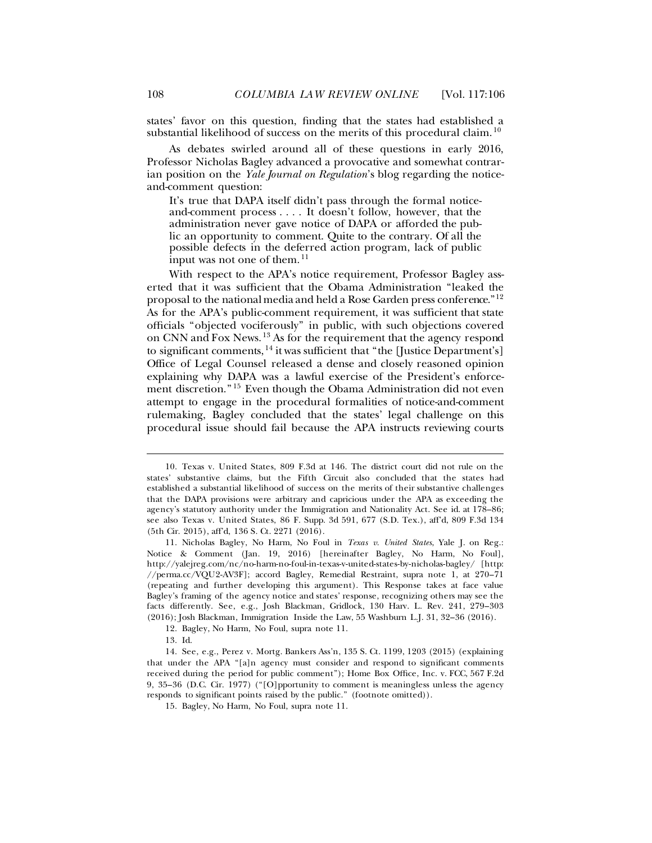states' favor on this question, finding that the states had established a substantial likelihood of success on the merits of this procedural claim.<sup>[10](#page-2-1)</sup>

As debates swirled around all of these questions in early 2016, Professor Nicholas Bagley advanced a provocative and somewhat contrarian position on the *Yale Journal on Regulation*'s blog regarding the noticeand-comment question:

<span id="page-2-0"></span>It's true that DAPA itself didn't pass through the formal notice- and-comment process . . . . It doesn't follow, however, that the administration never gave notice of DAPA or afforded the public an opportunity to comment. Quite to the contrary. Of all the possible defects in the deferred action program, lack of public input was not one of them.<sup>[11](#page-2-2)</sup>

With respect to the APA's notice requirement, Professor Bagley asserted that it was sufficient that the Obama Administration "leaked the proposal to the national media and held a Rose Garden press conference."[12](#page-2-3) As for the APA's public-comment requirement, it was sufficient that state officials "objected vociferously" in public, with such objections covered on CNN and Fox News. [13](#page-2-4) As for the requirement that the agency respond to significant comments,  $^{14}$  $^{14}$  $^{14}$  it was sufficient that "the [Justice Department's] Office of Legal Counsel released a dense and closely reasoned opinion explaining why DAPA was a lawful exercise of the President's enforcement discretion." [15](#page-2-6) Even though the Obama Administration did not even attempt to engage in the procedural formalities of notice-and-comment rulemaking, Bagley concluded that the states' legal challenge on this procedural issue should fail because the APA instructs reviewing courts

ı

<span id="page-2-1"></span><sup>10.</sup> Texas v. United States, 809 F.3d at 146. The district court did not rule on the states' substantive claims, but the Fifth Circuit also concluded that the states had established a substantial likelihood of success on the merits of their substantive challenges that the DAPA provisions were arbitrary and capricious under the APA as exceeding the agency's statutory authority under the Immigration and Nationality Act. See id. at 178–86; see also Texas v. United States, 86 F. Supp. 3d 591, 677 (S.D. Tex.), aff'd, 809 F.3d 134 (5th Cir. 2015), aff'd, 136 S. Ct. 2271 (2016).

<span id="page-2-2"></span><sup>11.</sup> Nicholas Bagley, No Harm, No Foul in *Texas v. United States*, Yale J. on Reg.: Notice & Comment (Jan. 19, 2016) [hereinafter Bagley, No Harm, No Foul], http://yalejreg.com/nc/no-harm-no-foul-in-texas-v-united-states-by-nicholas-bagley/ [http: //perma.cc/VQU2-AV3F]; accord Bagley, Remedial Restraint, supra note [1,](#page-1-9) at 270–71 (repeating and further developing this argument). This Response takes at face value Bagley's framing of the agency notice and states' response, recognizing others may see the facts differently. See, e.g., Josh Blackman, Gridlock, 130 Harv. L. Rev. 241, 279–303 (2016); Josh Blackman, Immigration Inside the Law, 55 Washburn L.J. 31, 32–36 (2016).

<sup>12.</sup> Bagley, No Harm, No Foul, supra not[e 11.](#page-2-0)

<sup>13.</sup> Id.

<span id="page-2-6"></span><span id="page-2-5"></span><span id="page-2-4"></span><span id="page-2-3"></span><sup>14.</sup> See, e.g., Perez v. Mortg. Bankers Ass'n, 135 S. Ct. 1199, 1203 (2015) (explaining that under the APA "[a]n agency must consider and respond to significant comments received during the period for public comment"); Home Box Office, Inc. v. FCC, 567 F.2d 9, 35–36 (D.C. Cir. 1977) ("[O]pportunity to comment is meaningless unless the agency responds to significant points raised by the public." (footnote omitted)).

<sup>15.</sup> Bagley, No Harm, No Foul, supra not[e 11.](#page-2-0)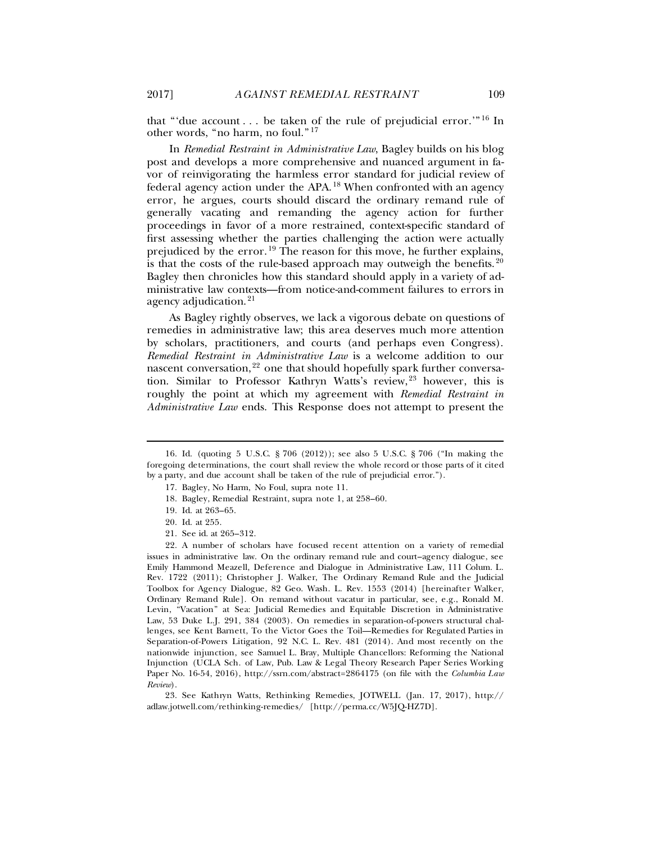that "'due account . . . be taken of the rule of prejudicial error.'" [16](#page-3-0) In other words, "no harm, no foul." [17](#page-3-1)

In *Remedial Restraint in Administrative Law*, Bagley builds on his blog post and develops a more comprehensive and nuanced argument in favor of reinvigorating the harmless error standard for judicial review of federal agency action under the APA. [18](#page-3-2) When confronted with an agency error, he argues, courts should discard the ordinary remand rule of generally vacating and remanding the agency action for further proceedings in favor of a more restrained, context-specific standard of first assessing whether the parties challenging the action were actually prejudiced by the error.<sup>[19](#page-3-3)</sup> The reason for this move, he further explains, is that the costs of the rule-based approach may outweigh the benefits.  $20$ Bagley then chronicles how this standard should apply in a variety of administrative law contexts—from notice-and-comment failures to errors in agency adjudication.<sup>[21](#page-3-5)</sup>

<span id="page-3-8"></span>As Bagley rightly observes, we lack a vigorous debate on questions of remedies in administrative law; this area deserves much more attention by scholars, practitioners, and courts (and perhaps even Congress). *Remedial Restraint in Administrative Law* is a welcome addition to our nascent conversation,  $22$  one that should hopefully spark further conversation. Similar to Professor Kathryn Watts's review, [23](#page-3-7) however, this is roughly the point at which my agreement with *Remedial Restraint in Administrative Law* ends. This Response does not attempt to present the

- 18. Bagley, Remedial Restraint, supra note [1,](#page-1-9) at 258–60.
- 19. Id. at 263–65.
- 20. Id. at 255.

<span id="page-3-9"></span> $\ddot{ }$ 

21. See id. at 265–312.

<span id="page-3-6"></span><span id="page-3-5"></span><span id="page-3-4"></span><span id="page-3-3"></span>22. A number of scholars have focused recent attention on a variety of remedial issues in administrative law. On the ordinary remand rule and court–agency dialogue, see Emily Hammond Meazell, Deference and Dialogue in Administrative Law, 111 Colum. L. Rev. 1722 (2011); Christopher J. Walker, The Ordinary Remand Rule and the Judicial Toolbox for Agency Dialogue, 82 Geo. Wash. L. Rev. 1553 (2014) [hereinafter Walker, Ordinary Remand Rule]. On remand without vacatur in particular, see, e.g., Ronald M. Levin, "Vacation" at Sea: Judicial Remedies and Equitable Discretion in Administrative Law, 53 Duke L.J. 291, 384 (2003). On remedies in separation-of-powers structural challenges, see Kent Barnett, To the Victor Goes the Toil—Remedies for Regulated Parties in Separation-of-Powers Litigation, 92 N.C. L. Rev. 481 (2014). And most recently on the nationwide injunction, see Samuel L. Bray, Multiple Chancellors: Reforming the National Injunction (UCLA Sch. of Law, Pub. Law & Legal Theory Research Paper Series Working Paper No. 16-54, 2016), http://ssrn.com/abstract=2864175 (on file with the *Columbia Law Review*).

<span id="page-3-7"></span>23. See Kathryn Watts, Rethinking Remedies, JOTWELL (Jan. 17, 2017), http:// adlaw.jotwell.com/rethinking-remedies/ [http://perma.cc/W5JQ-HZ7D].

<span id="page-3-2"></span><span id="page-3-1"></span><span id="page-3-0"></span><sup>16.</sup> Id. (quoting 5 U.S.C. § 706 (2012)); see also 5 U.S.C. § 706 ("In making the foregoing determinations, the court shall review the whole record or those parts of it cited by a party, and due account shall be taken of the rule of prejudicial error.").

<sup>17.</sup> Bagley, No Harm, No Foul, supra not[e 11.](#page-2-0)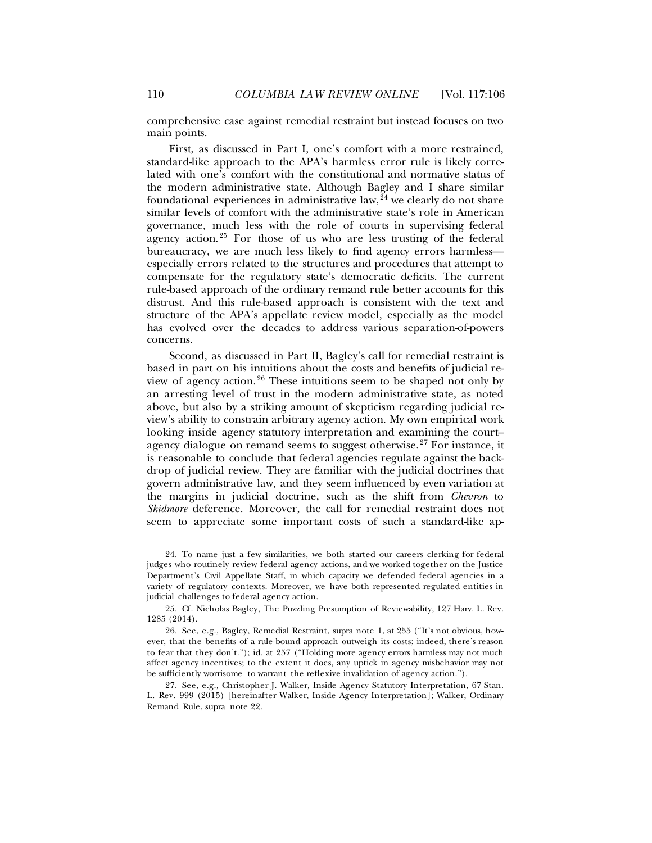comprehensive case against remedial restraint but instead focuses on two main points.

First, as discussed in Part I, one's comfort with a more restrained, standard-like approach to the APA's harmless error rule is likely correlated with one's comfort with the constitutional and normative status of the modern administrative state. Although Bagley and I share similar foundational experiences in administrative law,  $\frac{a}{4}$  we clearly do not share similar levels of comfort with the administrative state's role in American governance, much less with the role of courts in supervising federal agency action.<sup>[25](#page-4-1)</sup> For those of us who are less trusting of the federal bureaucracy, we are much less likely to find agency errors harmless especially errors related to the structures and procedures that attempt to compensate for the regulatory state's democratic deficits. The current rule-based approach of the ordinary remand rule better accounts for this distrust. And this rule-based approach is consistent with the text and structure of the APA's appellate review model, especially as the model has evolved over the decades to address various separation-of-powers concerns.

<span id="page-4-4"></span>Second, as discussed in Part II, Bagley's call for remedial restraint is based in part on his intuitions about the costs and benefits of judicial review of agency action. [26](#page-4-2) These intuitions seem to be shaped not only by an arresting level of trust in the modern administrative state, as noted above, but also by a striking amount of skepticism regarding judicial review's ability to constrain arbitrary agency action. My own empirical work looking inside agency statutory interpretation and examining the court– agency dialogue on remand seems to suggest otherwise. [27](#page-4-3) For instance, it is reasonable to conclude that federal agencies regulate against the backdrop of judicial review. They are familiar with the judicial doctrines that govern administrative law, and they seem influenced by even variation at the margins in judicial doctrine, such as the shift from *Chevron* to *Skidmore* deference. Moreover, the call for remedial restraint does not seem to appreciate some important costs of such a standard-like ap-

<span id="page-4-0"></span><sup>24.</sup> To name just a few similarities, we both started our careers clerking for federal judges who routinely review federal agency actions, and we worked together on the Justice Department's Civil Appellate Staff, in which capacity we defended federal agencies in a variety of regulatory contexts. Moreover, we have both represented regulated entities in judicial challenges to federal agency action.

<span id="page-4-1"></span><sup>25.</sup> Cf. Nicholas Bagley, The Puzzling Presumption of Reviewability, 127 Harv. L. Rev. 1285 (2014).

<span id="page-4-2"></span><sup>26.</sup> See, e.g., Bagley, Remedial Restraint, supra not[e 1,](#page-1-9) at 255 ("It's not obvious, however, that the benefits of a rule-bound approach outweigh its costs; indeed, there's reason to fear that they don't."); id. at 257 ("Holding more agency errors harmless may not much affect agency incentives; to the extent it does, any uptick in agency misbehavior may not be sufficiently worrisome to warrant the reflexive invalidation of agency action.").

<span id="page-4-3"></span><sup>27.</sup> See, e.g., Christopher J. Walker, Inside Agency Statutory Interpretation, 67 Stan. L. Rev. 999 (2015) [hereinafter Walker, Inside Agency Interpretation]; Walker, Ordinary Remand Rule, supra note [22.](#page-3-8)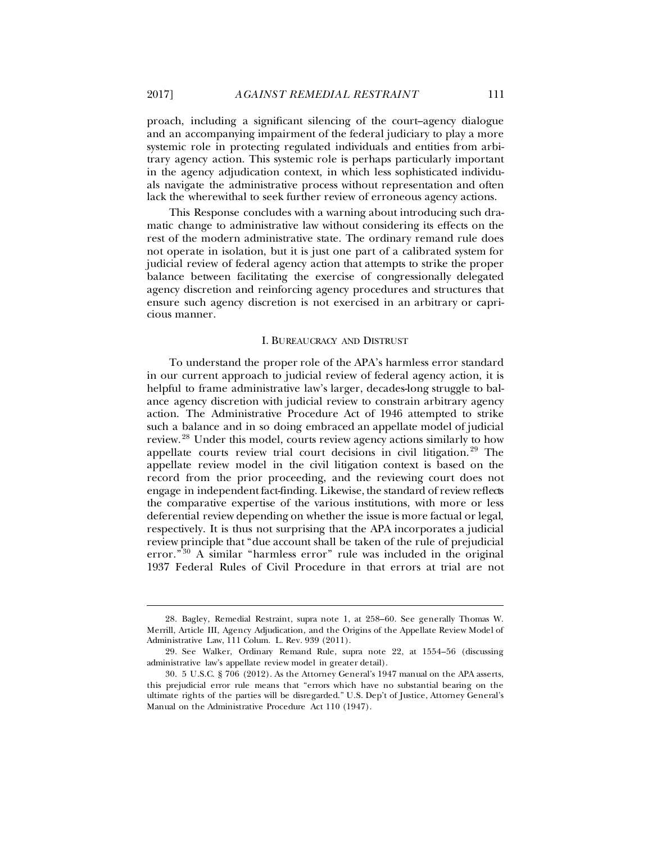proach, including a significant silencing of the court–agency dialogue and an accompanying impairment of the federal judiciary to play a more systemic role in protecting regulated individuals and entities from arbitrary agency action. This systemic role is perhaps particularly important in the agency adjudication context, in which less sophisticated individuals navigate the administrative process without representation and often lack the wherewithal to seek further review of erroneous agency actions.

This Response concludes with a warning about introducing such dramatic change to administrative law without considering its effects on the rest of the modern administrative state. The ordinary remand rule does not operate in isolation, but it is just one part of a calibrated system for judicial review of federal agency action that attempts to strike the proper balance between facilitating the exercise of congressionally delegated agency discretion and reinforcing agency procedures and structures that ensure such agency discretion is not exercised in an arbitrary or capricious manner.

#### I. BUREAUCRACY AND DISTRUST

<span id="page-5-3"></span>To understand the proper role of the APA's harmless error standard in our current approach to judicial review of federal agency action, it is helpful to frame administrative law's larger, decades-long struggle to balance agency discretion with judicial review to constrain arbitrary agency action. The Administrative Procedure Act of 1946 attempted to strike such a balance and in so doing embraced an appellate model of judicial review. [28](#page-5-0) Under this model, courts review agency actions similarly to how appellate courts review trial court decisions in civil litigation. [29](#page-5-1) The appellate review model in the civil litigation context is based on the record from the prior proceeding, and the reviewing court does not engage in independent fact-finding. Likewise, the standard of review reflects the comparative expertise of the various institutions, with more or less deferential review depending on whether the issue is more factual or legal, respectively. It is thus not surprising that the APA incorporates a judicial review principle that "due account shall be taken of the rule of prejudicial error."<sup>[30](#page-5-2)</sup> A similar "harmless error" rule was included in the original 1937 Federal Rules of Civil Procedure in that errors at trial are not

<span id="page-5-0"></span><sup>28.</sup> Bagley, Remedial Restraint, supra note [1,](#page-1-9) at 258–60. See generally Thomas W. Merrill, Article III, Agency Adjudication, and the Origins of the Appellate Review Model of Administrative Law, 111 Colum. L. Rev. 939 (2011).

<span id="page-5-1"></span><sup>29.</sup> See Walker, Ordinary Remand Rule, supra note [22,](#page-3-8) at 1554–56 (discussing administrative law's appellate review model in greater detail).

<span id="page-5-2"></span><sup>30.</sup> 5 U.S.C. § 706 (2012). As the Attorney General's 1947 manual on the APA asserts, this prejudicial error rule means that "errors which have no substantial bearing on the ultimate rights of the parties will be disregarded." U.S. Dep't of Justice, Attorney General's Manual on the Administrative Procedure Act 110 (1947).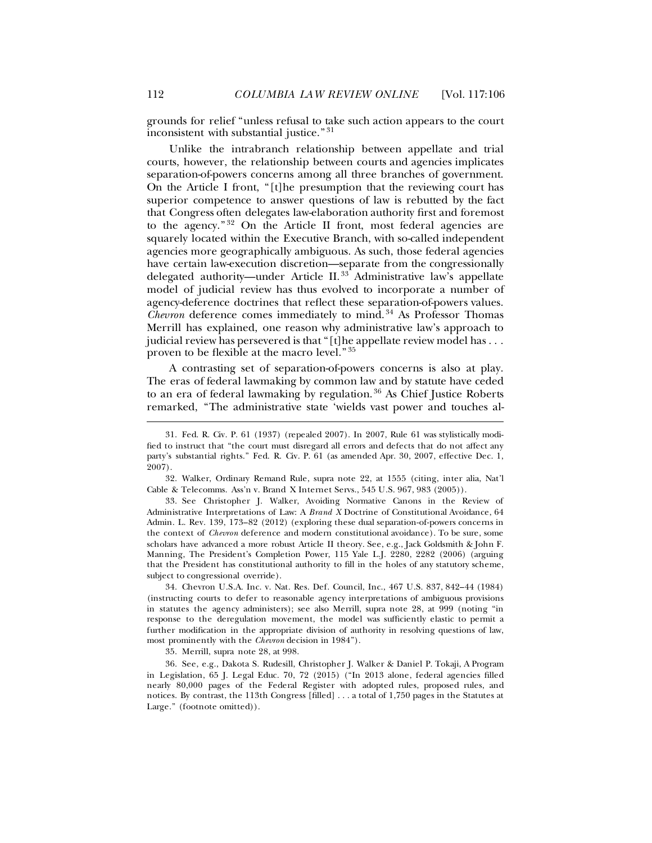grounds for relief "unless refusal to take such action appears to the court inconsistent with substantial justice."<sup>[31](#page-6-0)</sup>

Unlike the intrabranch relationship between appellate and trial courts, however, the relationship between courts and agencies implicates separation-of-powers concerns among all three branches of government. On the Article I front, "[t]he presumption that the reviewing court has superior competence to answer questions of law is rebutted by the fact that Congress often delegates law-elaboration authority first and foremost to the agency." [32](#page-6-1) On the Article II front, most federal agencies are squarely located within the Executive Branch, with so-called independent agencies more geographically ambiguous. As such, those federal agencies have certain law-execution discretion—separate from the congressionally delegated authority—under Article II.<sup>[33](#page-6-2)</sup> Administrative law's appellate model of judicial review has thus evolved to incorporate a number of agency-deference doctrines that reflect these separation-of-powers values. *Chevron* deference comes immediately to mind. [34](#page-6-3) As Professor Thomas Merrill has explained, one reason why administrative law's approach to judicial review has persevered is that "[t]he appellate review model has . . . proven to be flexible at the macro level." [35](#page-6-4)

A contrasting set of separation-of-powers concerns is also at play. The eras of federal lawmaking by common law and by statute have ceded to an era of federal lawmaking by regulation.<sup>[36](#page-6-5)</sup> As Chief Justice Roberts remarked, "The administrative state 'wields vast power and touches al-

<span id="page-6-1"></span>32. Walker, Ordinary Remand Rule, supra note [22,](#page-3-8) at 1555 (citing, inter alia, Nat'l Cable & Telecomms. Ass'n v. Brand X Internet Servs., 545 U.S. 967, 983 (2005)).

<span id="page-6-2"></span>33. See Christopher J. Walker, Avoiding Normative Canons in the Review of Administrative Interpretations of Law: A *Brand X* Doctrine of Constitutional Avoidance, 64 Admin. L. Rev. 139, 173–82 (2012) (exploring these dual separation-of-powers concerns in the context of *Chevron* deference and modern constitutional avoidance). To be sure, some scholars have advanced a more robust Article II theory. See, e.g., Jack Goldsmith & John F. Manning, The President's Completion Power, 115 Yale L.J. 2280, 2282 (2006) (arguing that the President has constitutional authority to fill in the holes of any statutory scheme, subject to congressional override).

<span id="page-6-3"></span>34. Chevron U.S.A. Inc. v. Nat. Res. Def. Council, Inc., 467 U.S. 837, 842–44 (1984) (instructing courts to defer to reasonable agency interpretations of ambiguous provisions in statutes the agency administers); see also Merrill, supra note [28,](#page-5-3) at 999 (noting "in response to the deregulation movement, the model was sufficiently elastic to permit a further modification in the appropriate division of authority in resolving questions of law, most prominently with the *Chevron* decision in 1984").

35. Merrill, supra note [28,](#page-5-3) at 998.

<span id="page-6-5"></span><span id="page-6-4"></span>36. See, e.g., Dakota S. Rudesill, Christopher J. Walker & Daniel P. Tokaji, A Program in Legislation, 65 J. Legal Educ. 70, 72 (2015) ("In 2013 alone, federal agencies filled nearly 80,000 pages of the Federal Register with adopted rules, proposed rules, and notices. By contrast, the 113th Congress [filled] . . . a total of 1,750 pages in the Statutes at Large." (footnote omitted)).

<span id="page-6-0"></span><sup>31.</sup> Fed. R. Civ. P. 61 (1937) (repealed 2007). In 2007, Rule 61 was stylistically modified to instruct that "the court must disregard all errors and defects that do not affect any party's substantial rights." Fed. R. Civ. P. 61 (as amended Apr. 30, 2007, effective Dec. 1, 2007).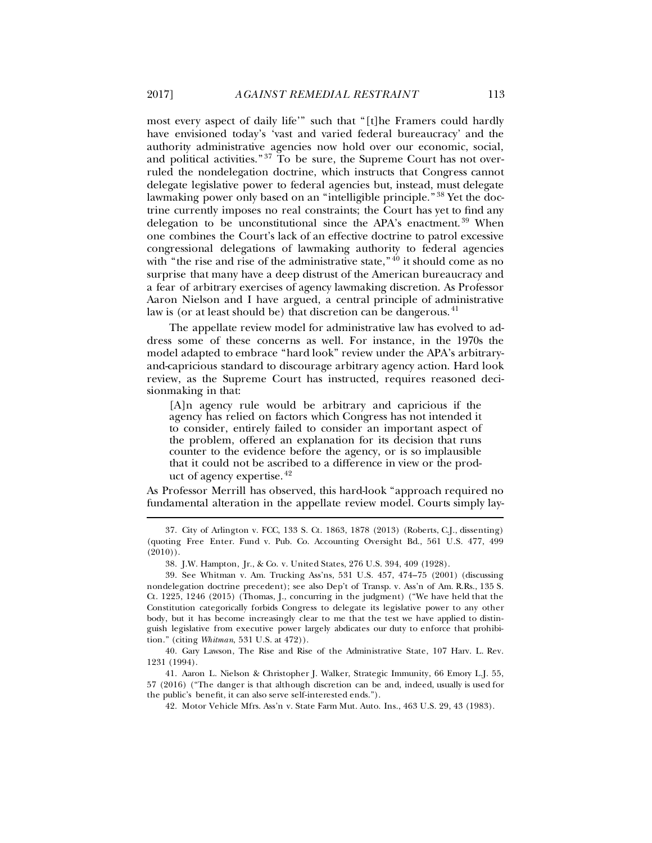most every aspect of daily life'" such that "[t]he Framers could hardly have envisioned today's 'vast and varied federal bureaucracy' and the authority administrative agencies now hold over our economic, social, and political activities." $37$  To be sure, the Supreme Court has not overruled the nondelegation doctrine, which instructs that Congress cannot delegate legislative power to federal agencies but, instead, must delegate lawmaking power only based on an "intelligible principle."<sup>[38](#page-7-1)</sup> Yet the doctrine currently imposes no real constraints; the Court has yet to find any delegation to be unconstitutional since the APA's enactment.<sup>[39](#page-7-2)</sup> When one combines the Court's lack of an effective doctrine to patrol excessive congressional delegations of lawmaking authority to federal agencies with "the rise and rise of the administrative state,"<sup>[40](#page-7-3)</sup> it should come as no surprise that many have a deep distrust of the American bureaucracy and a fear of arbitrary exercises of agency lawmaking discretion. As Professor Aaron Nielson and I have argued, a central principle of administrative law is (or at least should be) that discretion can be dangerous.  $41$ 

The appellate review model for administrative law has evolved to address some of these concerns as well. For instance, in the 1970s the model adapted to embrace "hard look" review under the APA's arbitraryand-capricious standard to discourage arbitrary agency action. Hard look review, as the Supreme Court has instructed, requires reasoned decisionmaking in that:

[A]n agency rule would be arbitrary and capricious if the agency has relied on factors which Congress has not intended it to consider, entirely failed to consider an important aspect of the problem, offered an explanation for its decision that runs counter to the evidence before the agency, or is so implausible that it could not be ascribed to a difference in view or the product of agency expertise. [42](#page-7-5)

As Professor Merrill has observed, this hard-look "approach required no fundamental alteration in the appellate review model. Courts simply lay-

<span id="page-7-0"></span><sup>37.</sup> City of Arlington v. FCC, 133 S. Ct. 1863, 1878 (2013) (Roberts, C.J., dissenting) (quoting Free Enter. Fund v. Pub. Co. Accounting Oversight Bd., 561 U.S. 477, 499  $(2010)$ .

<sup>38.</sup> J.W. Hampton, Jr., & Co. v. United States, 276 U.S. 394, 409 (1928).

<span id="page-7-2"></span><span id="page-7-1"></span><sup>39.</sup> See Whitman v. Am. Trucking Ass'ns, 531 U.S. 457, 474–75 (2001) (discussing nondelegation doctrine precedent); see also Dep't of Transp. v. Ass'n of Am. R.Rs., 135 S. Ct. 1225, 1246 (2015) (Thomas, J., concurring in the judgment) ("We have held that the Constitution categorically forbids Congress to delegate its legislative power to any other body, but it has become increasingly clear to me that the test we have applied to distinguish legislative from executive power largely abdicates our duty to enforce that prohibition." (citing *Whitman*, 531 U.S. at 472)).

<span id="page-7-3"></span><sup>40.</sup> Gary Lawson, The Rise and Rise of the Administrative State, 107 Harv. L. Rev. 1231 (1994).

<span id="page-7-5"></span><span id="page-7-4"></span><sup>41.</sup> Aaron L. Nielson & Christopher J. Walker, Strategic Immunity, 66 Emory L.J. 55, 57 (2016) ("The danger is that although discretion can be and, indeed, usually is used for the public's benefit, it can also serve self-interested ends.").

<sup>42.</sup> Motor Vehicle Mfrs. Ass'n v. State Farm Mut. Auto. Ins., 463 U.S. 29, 43 (1983).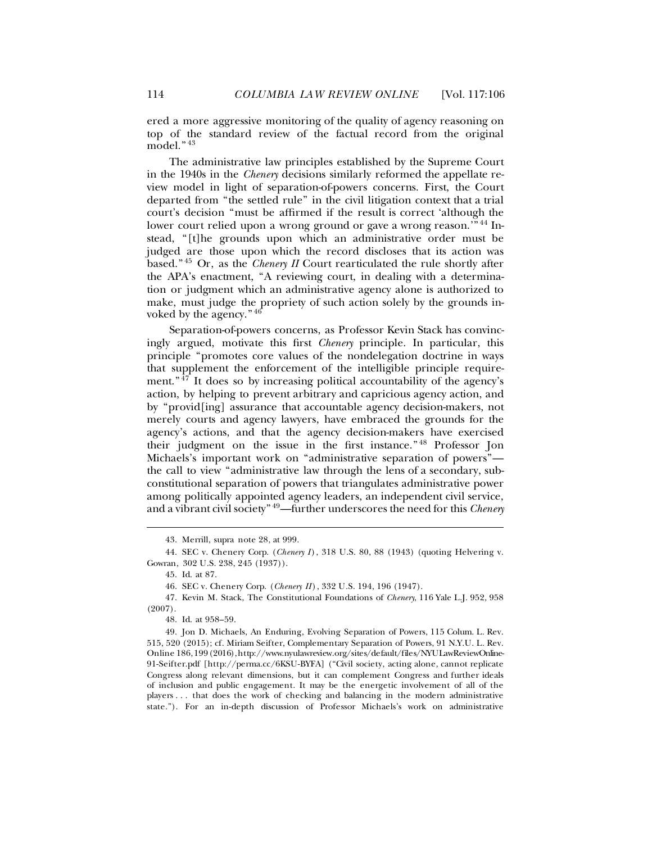ered a more aggressive monitoring of the quality of agency reasoning on top of the standard review of the factual record from the original model." [43](#page-8-0)

The administrative law principles established by the Supreme Court in the 1940s in the *Chenery* decisions similarly reformed the appellate review model in light of separation-of-powers concerns. First, the Court departed from "the settled rule" in the civil litigation context that a trial court's decision "must be affirmed if the result is correct 'although the lower court relied upon a wrong ground or gave a wrong reason.'" [44](#page-8-1) Instead, "[t]he grounds upon which an administrative order must be judged are those upon which the record discloses that its action was based." [45](#page-8-2) Or, as the *Chenery II* Court rearticulated the rule shortly after the APA's enactment, "A reviewing court, in dealing with a determination or judgment which an administrative agency alone is authorized to make, must judge the propriety of such action solely by the grounds invoked by the agency." [46](#page-8-3)

Separation-of-powers concerns, as Professor Kevin Stack has convincingly argued, motivate this first *Chenery* principle. In particular, this principle "promotes core values of the nondelegation doctrine in ways that supplement the enforcement of the intelligible principle requirement." $\frac{47}{7}$  $\frac{47}{7}$  $\frac{47}{7}$  It does so by increasing political accountability of the agency's action, by helping to prevent arbitrary and capricious agency action, and by "provid[ing] assurance that accountable agency decision-makers, not merely courts and agency lawyers, have embraced the grounds for the agency's actions, and that the agency decision-makers have exercised their judgment on the issue in the first instance." [48](#page-8-5) Professor Jon Michaels's important work on "administrative separation of powers" the call to view "administrative law through the lens of a secondary, subconstitutional separation of powers that triangulates administrative power among politically appointed agency leaders, an independent civil service, and a vibrant civil society" [49](#page-8-6)—further underscores the need for this *Chenery*

 $\ddot{ }$ 

46. SEC v. Chenery Corp. (*Chenery II* ), 332 U.S. 194, 196 (1947).

48. Id. at 958–59.

<span id="page-8-6"></span><span id="page-8-5"></span>49. Jon D. Michaels, An Enduring, Evolving Separation of Powers, 115 Colum. L. Rev. 515, 520 (2015); cf. Miriam Seifter, Complementary Separation of Powers, 91 N.Y.U. L. Rev. Online 186, 199 (2016), http://www.nyulawreview.org/sites/default/files/NYULawReviewOnline-91-Seifter.pdf [http://perma.cc/6KSU-BYFA] ("Civil society, acting alone, cannot replicate Congress along relevant dimensions, but it can complement Congress and further ideals of inclusion and public engagement. It may be the energetic involvement of all of the players . . . that does the work of checking and balancing in the modern administrative state."). For an in-depth discussion of Professor Michaels's work on administrative

<span id="page-8-7"></span><sup>43.</sup> Merrill, supra note [28,](#page-5-3) at 999.

<span id="page-8-2"></span><span id="page-8-1"></span><span id="page-8-0"></span><sup>44.</sup> SEC v. Chenery Corp. (*Chenery I* ), 318 U.S. 80, 88 (1943) (quoting Helvering v. Gowran, 302 U.S. 238, 245 (1937)).

<sup>45.</sup> Id. at 87.

<span id="page-8-4"></span><span id="page-8-3"></span><sup>47.</sup> Kevin M. Stack, The Constitutional Foundations of *Chenery*, 116 Yale L.J. 952, 958 (2007).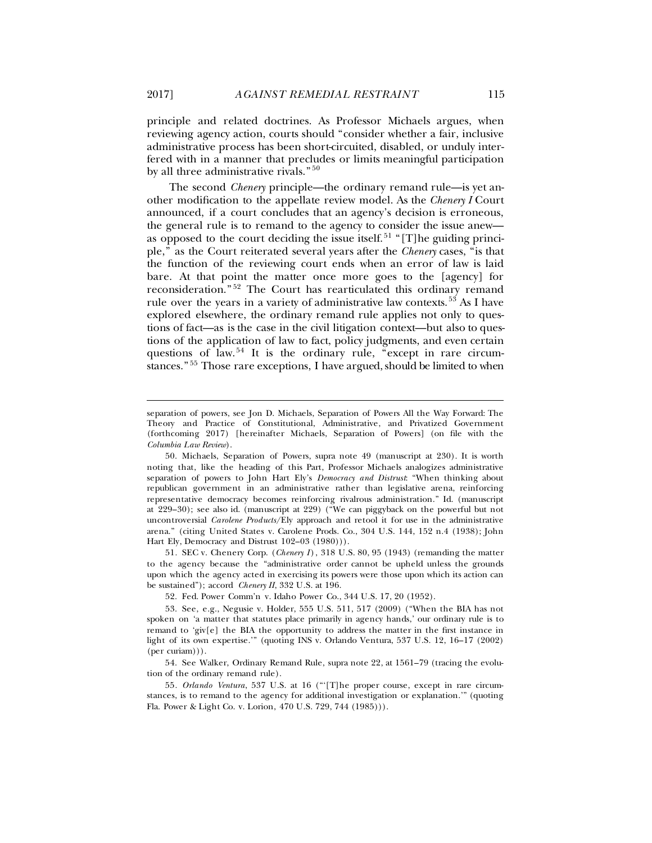principle and related doctrines. As Professor Michaels argues, when reviewing agency action, courts should "consider whether a fair, inclusive administrative process has been short-circuited, disabled, or unduly interfered with in a manner that precludes or limits meaningful participation by all three administrative rivals." [50](#page-9-0)

<span id="page-9-6"></span>The second *Chenery* principle—the ordinary remand rule—is yet another modification to the appellate review model. As the *Chenery I* Court announced, if a court concludes that an agency's decision is erroneous, the general rule is to remand to the agency to consider the issue anew— as opposed to the court deciding the issue itself.<sup>[51](#page-9-1)</sup> "[T]he guiding principle," as the Court reiterated several years after the *Chenery* cases, "is that the function of the reviewing court ends when an error of law is laid bare. At that point the matter once more goes to the [agency] for reconsideration." [52](#page-9-2) The Court has rearticulated this ordinary remand rule over the years in a variety of administrative law contexts. [53](#page-9-3) As I have explored elsewhere, the ordinary remand rule applies not only to questions of fact—as is the case in the civil litigation context—but also to questions of the application of law to fact, policy judgments, and even certain questions of law.<sup>[54](#page-9-4)</sup> It is the ordinary rule, "except in rare circumstances." [55](#page-9-5) Those rare exceptions, I have argued, should be limited to when

<span id="page-9-1"></span>51*.* SEC v. Chenery Corp. (*Chenery I* ), 318 U.S. 80, 95 (1943) (remanding the matter to the agency because the "administrative order cannot be upheld unless the grounds upon which the agency acted in exercising its powers were those upon which its action can be sustained"); accord *Chenery II*, 332 U.S. at 196.

52. Fed. Power Comm'n v. Idaho Power Co., 344 U.S. 17, 20 (1952).

<span id="page-9-4"></span>54. See Walker, Ordinary Remand Rule, supra note [22,](#page-3-8) at 1561–79 (tracing the evolution of the ordinary remand rule).

<span id="page-9-5"></span>55*. Orlando Ventura*, 537 U.S. at 16 ("'[T]he proper course, except in rare circumstances, is to remand to the agency for additional investigation or explanation.'" (quoting Fla. Power & Light Co. v. Lorion, 470 U.S. 729, 744 (1985))).

separation of powers, see Jon D. Michaels, Separation of Powers All the Way Forward: The Theory and Practice of Constitutional, Administrative, and Privatized Government (forthcoming 2017) [hereinafter Michaels, Separation of Powers] (on file with the *Columbia Law Review*).

<span id="page-9-0"></span><sup>50.</sup> Michaels, Separation of Powers, supra note [49](#page-8-7) (manuscript at 230). It is worth noting that, like the heading of this Part, Professor Michaels analogizes administrative separation of powers to John Hart Ely's *Democracy and Distrust*: "When thinking about republican government in an administrative rather than legislative arena, reinforcing representative democracy becomes reinforcing rivalrous administration." Id. (manuscript at 229–30); see also id. (manuscript at 229) ("We can piggyback on the powerful but not uncontroversial *Carolene Products*/Ely approach and retool it for use in the administrative arena." (citing United States v. Carolene Prods. Co., 304 U.S. 144, 152 n.4 (1938); John Hart Ely, Democracy and Distrust 102–03 (1980))).

<span id="page-9-3"></span><span id="page-9-2"></span><sup>53.</sup> See, e.g., Negusie v. Holder, 555 U.S. 511, 517 (2009) ("When the BIA has not spoken on 'a matter that statutes place primarily in agency hands,' our ordinary rule is to remand to 'giv[e] the BIA the opportunity to address the matter in the first instance in light of its own expertise.'" (quoting INS v. Orlando Ventura, 537 U.S. 12, 16–17 (2002) (per curiam))).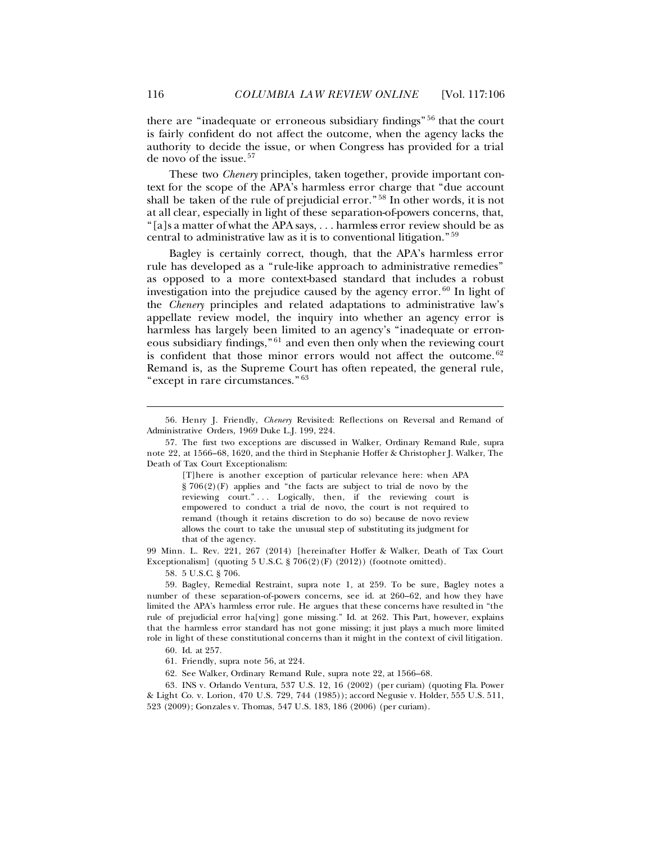<span id="page-10-0"></span>there are "inadequate or erroneous subsidiary findings" [56](#page-10-1) that the court is fairly confident do not affect the outcome, when the agency lacks the authority to decide the issue, or when Congress has provided for a trial de novo of the issue. [57](#page-10-2)

<span id="page-10-9"></span>These two *Chenery* principles, taken together, provide important context for the scope of the APA's harmless error charge that "due account shall be taken of the rule of prejudicial error." [58](#page-10-3) In other words, it is not at all clear, especially in light of these separation-of-powers concerns, that, "[a]s a matter of what the APA says, . . . harmless error review should be as central to administrative law as it is to conventional litigation." [59](#page-10-4)

Bagley is certainly correct, though, that the APA's harmless error rule has developed as a "rule-like approach to administrative remedies" as opposed to a more context-based standard that includes a robust investigation into the prejudice caused by the agency error. [60](#page-10-5) In light of the *Chenery* principles and related adaptations to administrative law's appellate review model, the inquiry into whether an agency error is harmless has largely been limited to an agency's "inadequate or erroneous subsidiary findings," [61](#page-10-6) and even then only when the reviewing court is confident that those minor errors would not affect the outcome. <sup>[62](#page-10-7)</sup> Remand is, as the Supreme Court has often repeated, the general rule, "except in rare circumstances." [63](#page-10-8)

[T]here is another exception of particular relevance here: when APA § 706(2)(F) applies and "the facts are subject to trial de novo by the reviewing court." . . . Logically, then, if the reviewing court is empowered to conduct a trial de novo, the court is not required to remand (though it retains discretion to do so) because de novo review allows the court to take the unusual step of substituting its judgment for that of the agency.

99 Minn. L. Rev. 221, 267 (2014) [hereinafter Hoffer & Walker, Death of Tax Court Exceptionalism] (quoting 5 U.S.C. § 706(2)(F) (2012)) (footnote omitted).

58. 5 U.S.C. § 706.

<span id="page-10-4"></span><span id="page-10-3"></span>59. Bagley, Remedial Restraint, supra note [1,](#page-1-9) at 259. To be sure, Bagley notes a number of these separation-of-powers concerns, see id. at 260–62, and how they have limited the APA's harmless error rule. He argues that these concerns have resulted in "the rule of prejudicial error ha[ving] gone missing." Id. at 262. This Part, however, explains that the harmless error standard has not gone missing; it just plays a much more limited role in light of these constitutional concerns than it might in the context of civil litigation.

60. Id. at 257.

61. Friendly, supra note [56,](#page-10-0) at 224.

62. See Walker, Ordinary Remand Rule, supra note [22,](#page-3-8) at 1566–68.

<span id="page-10-8"></span><span id="page-10-7"></span><span id="page-10-6"></span><span id="page-10-5"></span>63*.* INS v. Orlando Ventura, 537 U.S. 12, 16 (2002) (per curiam) (quoting Fla. Power & Light Co. v. Lorion, 470 U.S. 729, 744 (1985)); accord Negusie v. Holder, 555 U.S. 511, 523 (2009); Gonzales v. Thomas, 547 U.S. 183, 186 (2006) (per curiam).

<span id="page-10-1"></span><sup>56.</sup> Henry J. Friendly, *Chenery* Revisited: Reflections on Reversal and Remand of Administrative Orders, 1969 Duke L.J. 199, 224.

<span id="page-10-2"></span><sup>57.</sup> The first two exceptions are discussed in Walker, Ordinary Remand Rule, supra note [22,](#page-3-8) at 1566–68, 1620, and the third in Stephanie Hoffer & Christopher J. Walker, The Death of Tax Court Exceptionalism: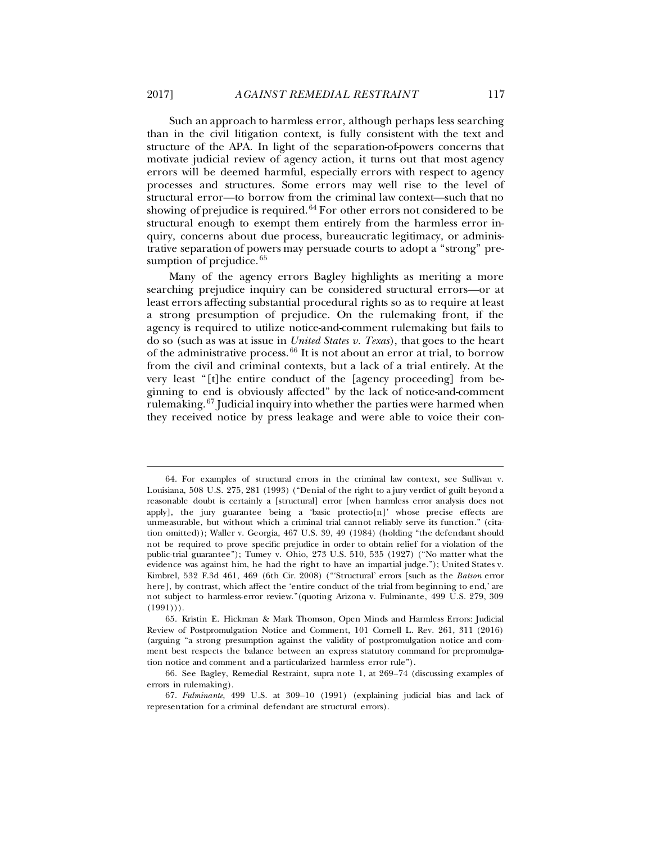Such an approach to harmless error, although perhaps less searching than in the civil litigation context, is fully consistent with the text and structure of the APA. In light of the separation-of-powers concerns that motivate judicial review of agency action, it turns out that most agency errors will be deemed harmful, especially errors with respect to agency processes and structures. Some errors may well rise to the level of structural error—to borrow from the criminal law context—such that no showing of prejudice is required. <sup>[64](#page-11-0)</sup> For other errors not considered to be structural enough to exempt them entirely from the harmless error inquiry, concerns about due process, bureaucratic legitimacy, or administrative separation of powers may persuade courts to adopt a "strong" pre-sumption of prejudice.<sup>[65](#page-11-1)</sup>

<span id="page-11-4"></span>Many of the agency errors Bagley highlights as meriting a more searching prejudice inquiry can be considered structural errors—or at least errors affecting substantial procedural rights so as to require at least a strong presumption of prejudice. On the rulemaking front, if the agency is required to utilize notice-and-comment rulemaking but fails to do so (such as was at issue in *United States v. Texas*), that goes to the heart of the administrative process. [66](#page-11-2) It is not about an error at trial, to borrow from the civil and criminal contexts, but a lack of a trial entirely. At the very least "[t]he entire conduct of the [agency proceeding] from beginning to end is obviously affected" by the lack of notice-and-comment rulemaking. [67](#page-11-3) Judicial inquiry into whether the parties were harmed when they received notice by press leakage and were able to voice their con-

<span id="page-11-0"></span><sup>64.</sup> For examples of structural errors in the criminal law context, see Sullivan v. Louisiana, 508 U.S. 275, 281 (1993) ("Denial of the right to a jury verdict of guilt beyond a reasonable doubt is certainly a [structural] error [when harmless error analysis does not apply], the jury guarantee being a 'basic protectio[n]' whose precise effects are unmeasurable, but without which a criminal trial cannot reliably serve its function." (citation omitted)); Waller v. Georgia, 467 U.S. 39, 49 (1984) (holding "the defendant should not be required to prove specific prejudice in order to obtain relief for a violation of the public-trial guarantee"); Tumey v. Ohio, 273 U.S. 510, 535 (1927) ("No matter what the evidence was against him, he had the right to have an impartial judge."); United States v. Kimbrel, 532 F.3d 461, 469 (6th Cir. 2008) ("'Structural' errors [such as the *Batson* error here], by contrast, which affect the 'entire conduct of the trial from beginning to end,' are not subject to harmless-error review."(quoting Arizona v. Fulminante, 499 U.S. 279, 309  $(1991))$ .

<span id="page-11-1"></span><sup>65.</sup> Kristin E. Hickman & Mark Thomson, Open Minds and Harmless Errors: Judicial Review of Postpromulgation Notice and Comment, 101 Cornell L. Rev. 261, 311 (2016) (arguing "a strong presumption against the validity of postpromulgation notice and comment best respects the balance between an express statutory command for prepromulgation notice and comment and a particularized harmless error rule").

<span id="page-11-2"></span><sup>66.</sup> See Bagley, Remedial Restraint, supra note [1,](#page-1-9) at 269–74 (discussing examples of errors in rulemaking).

<span id="page-11-3"></span><sup>67.</sup> *Fulminante*, 499 U.S. at 309–10 (1991) (explaining judicial bias and lack of representation for a criminal defendant are structural errors).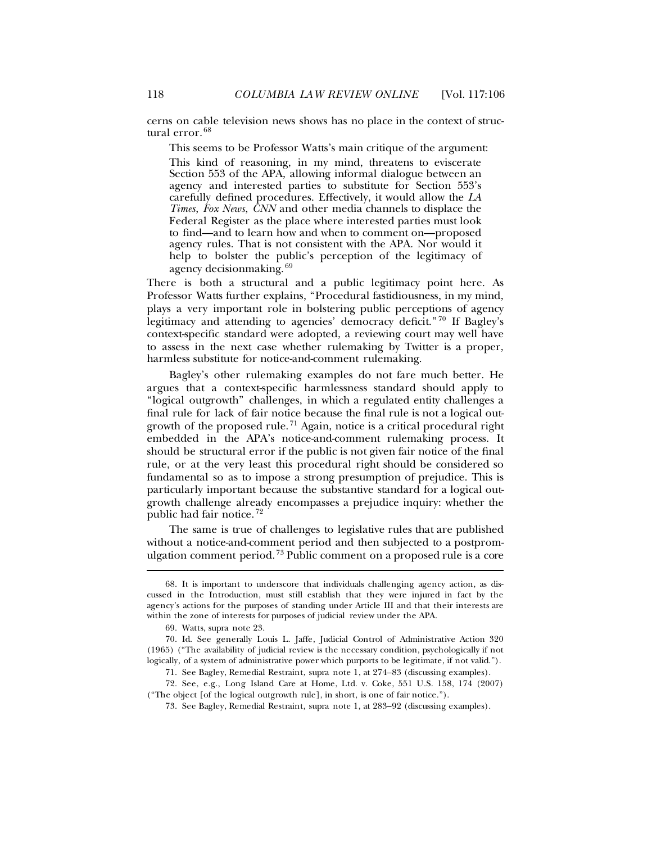cerns on cable television news shows has no place in the context of structural error. [68](#page-12-0)

This seems to be Professor Watts's main critique of the argument:

This kind of reasoning, in my mind, threatens to eviscerate Section 553 of the APA, allowing informal dialogue between an agency and interested parties to substitute for Section 553's carefully defined procedures. Effectively, it would allow the *LA Times*, *Fox News*, *CNN* and other media channels to displace the Federal Register as the place where interested parties must look to find—and to learn how and when to comment on—proposed agency rules. That is not consistent with the APA. Nor would it help to bolster the public's perception of the legitimacy of agency decisionmaking. [69](#page-12-1)

There is both a structural and a public legitimacy point here. As Professor Watts further explains, "Procedural fastidiousness, in my mind, plays a very important role in bolstering public perceptions of agency legitimacy and attending to agencies' democracy deficit." [70](#page-12-2) If Bagley's context-specific standard were adopted, a reviewing court may well have to assess in the next case whether rulemaking by Twitter is a proper, harmless substitute for notice-and-comment rulemaking.

Bagley's other rulemaking examples do not fare much better. He argues that a context-specific harmlessness standard should apply to "logical outgrowth" challenges, in which a regulated entity challenges a final rule for lack of fair notice because the final rule is not a logical out-growth of the proposed rule.<sup>[71](#page-12-3)</sup> Again, notice is a critical procedural right embedded in the APA's notice-and-comment rulemaking process. It should be structural error if the public is not given fair notice of the final rule, or at the very least this procedural right should be considered so fundamental so as to impose a strong presumption of prejudice. This is particularly important because the substantive standard for a logical outgrowth challenge already encompasses a prejudice inquiry: whether the public had fair notice. [72](#page-12-4)

The same is true of challenges to legislative rules that are published without a notice-and-comment period and then subjected to a postpromulgation comment period. [73](#page-12-5) Public comment on a proposed rule is a core

<span id="page-12-0"></span><sup>68.</sup> It is important to underscore that individuals challenging agency action, as discussed in the Introduction, must still establish that they were injured in fact by the agency's actions for the purposes of standing under Article III and that their interests are within the zone of interests for purposes of judicial review under the APA.

<sup>69.</sup> Watts, supra not[e 23.](#page-3-9)

<span id="page-12-2"></span><span id="page-12-1"></span><sup>70.</sup> Id. See generally Louis L. Jaffe, Judicial Control of Administrative Action 320 (1965) ("The availability of judicial review is the necessary condition, psychologically if not logically, of a system of administrative power which purports to be legitimate, if not valid.").

<sup>71.</sup> See Bagley, Remedial Restraint, supra note [1,](#page-1-9) at 274–83 (discussing examples).

<span id="page-12-5"></span><span id="page-12-4"></span><span id="page-12-3"></span><sup>72.</sup> See, e.g., Long Island Care at Home, Ltd. v. Coke, 551 U.S. 158, 174 (2007) ("The object [of the logical outgrowth rule], in short, is one of fair notice.").

<sup>73.</sup> See Bagley, Remedial Restraint, supra note [1,](#page-1-9) at 283–92 (discussing examples).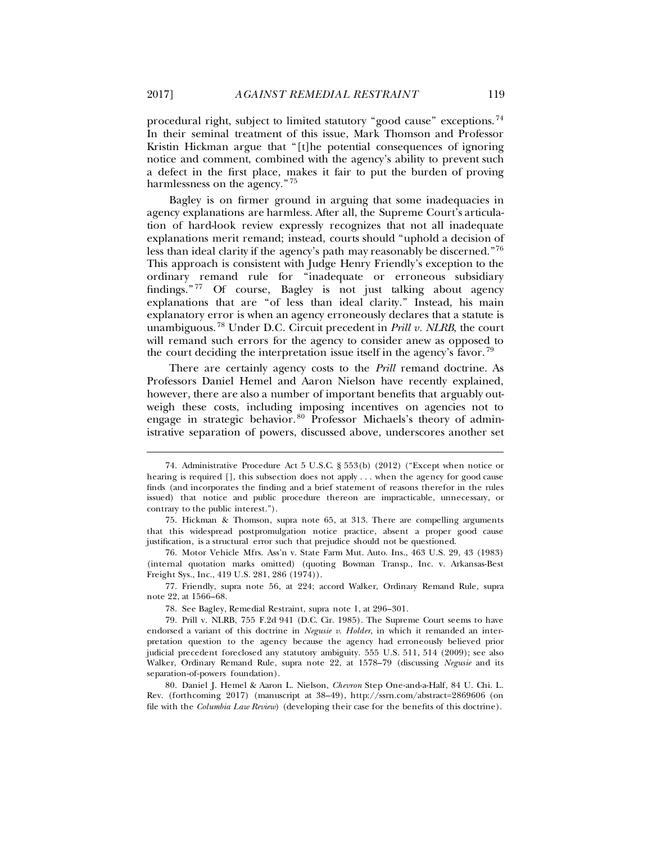procedural right, subject to limited statutory "good cause" exceptions. [74](#page-13-0) In their seminal treatment of this issue, Mark Thomson and Professor Kristin Hickman argue that "[t]he potential consequences of ignoring notice and comment, combined with the agency's ability to prevent such a defect in the first place, makes it fair to put the burden of proving harmlessness on the agency." [75](#page-13-1)

Bagley is on firmer ground in arguing that some inadequacies in agency explanations are harmless. After all, the Supreme Court's articulation of hard-look review expressly recognizes that not all inadequate explanations merit remand; instead, courts should "uphold a decision of less than ideal clarity if the agency's path may reasonably be discerned."[76](#page-13-2) This approach is consistent with Judge Henry Friendly's exception to the ordinary remand rule for "inadequate or erroneous subsidiary findings." [77](#page-13-3) Of course, Bagley is not just talking about agency explanations that are "of less than ideal clarity." Instead, his main explanatory error is when an agency erroneously declares that a statute is unambiguous. [78](#page-13-4) Under D.C. Circuit precedent in *Prill v. NLRB*, the court will remand such errors for the agency to consider anew as opposed to the court deciding the interpretation issue itself in the agency's favor.  $\frac{79}{2}$  $\frac{79}{2}$  $\frac{79}{2}$ 

There are certainly agency costs to the *Prill* remand doctrine. As Professors Daniel Hemel and Aaron Nielson have recently explained, however, there are also a number of important benefits that arguably outweigh these costs, including imposing incentives on agencies not to engage in strategic behavior. [80](#page-13-6) Professor Michaels's theory of administrative separation of powers, discussed above, underscores another set

<span id="page-13-0"></span><sup>74.</sup> Administrative Procedure Act 5 U.S.C. § 553(b) (2012) ("Except when notice or hearing is required [], this subsection does not apply . . . when the agency for good cause finds (and incorporates the finding and a brief statement of reasons therefor in the rules issued) that notice and public procedure thereon are impracticable, unnecessary, or contrary to the public interest.").

<span id="page-13-1"></span><sup>75.</sup> Hickman & Thomson, supra note [65,](#page-11-4) at 313. There are compelling arguments that this widespread postpromulgation notice practice, absent a proper good cause justification, is a structural error such that prejudice should not be questioned.

<span id="page-13-2"></span><sup>76.</sup> Motor Vehicle Mfrs. Ass'n v. State Farm Mut. Auto. Ins., 463 U.S. 29, 43 (1983) (internal quotation marks omitted) (quoting Bowman Transp., Inc. v. Arkansas-Best Freight Sys., Inc., 419 U.S. 281, 286 (1974)).

<span id="page-13-3"></span><sup>77.</sup> Friendly, supra note [56,](#page-10-0) at 224; accord Walker, Ordinary Remand Rule, supra note [22,](#page-3-8) at 1566–68.

<sup>78.</sup> See Bagley, Remedial Restraint, supra note [1,](#page-1-9) at 296–301.

<span id="page-13-5"></span><span id="page-13-4"></span><sup>79.</sup> Prill v. NLRB, 755 F.2d 941 (D.C. Cir. 1985). The Supreme Court seems to have endorsed a variant of this doctrine in *Negusie v. Holder*, in which it remanded an interpretation question to the agency because the agency had erroneously believed prior judicial precedent foreclosed any statutory ambiguity. 555 U.S. 511, 514 (2009); see also Walker, Ordinary Remand Rule, supra note [22,](#page-3-8) at 1578–79 (discussing *Negusie* and its separation-of-powers foundation).

<span id="page-13-6"></span><sup>80.</sup> Daniel J. Hemel & Aaron L. Nielson, *Chevron* Step One-and-a-Half, 84 U. Chi. L. Rev. (forthcoming 2017) (manuscript at 38–49), http://ssrn.com/abstract=2869606 (on file with the *Columbia Law Review*) (developing their case for the benefits of this doctrine).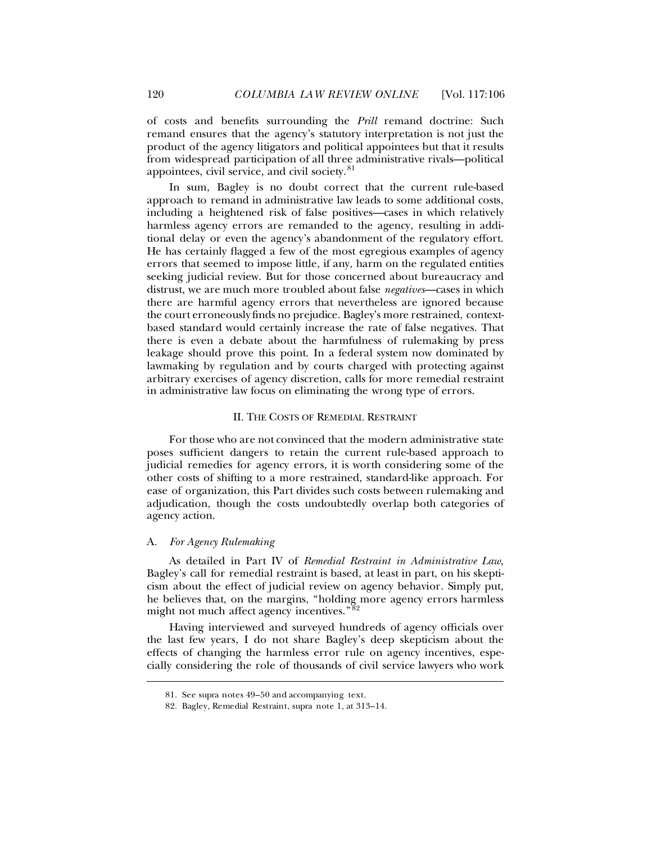of costs and benefits surrounding the *Prill* remand doctrine: Such remand ensures that the agency's statutory interpretation is not just the product of the agency litigators and political appointees but that it results from widespread participation of all three administrative rivals—political appointees, civil service, and civil society. [81](#page-14-0)

In sum, Bagley is no doubt correct that the current rule-based approach to remand in administrative law leads to some additional costs, including a heightened risk of false positives—cases in which relatively harmless agency errors are remanded to the agency, resulting in additional delay or even the agency's abandonment of the regulatory effort. He has certainly flagged a few of the most egregious examples of agency errors that seemed to impose little, if any, harm on the regulated entities seeking judicial review. But for those concerned about bureaucracy and distrust, we are much more troubled about false *negatives*—cases in which there are harmful agency errors that nevertheless are ignored because the court erroneously finds no prejudice. Bagley's more restrained, contextbased standard would certainly increase the rate of false negatives. That there is even a debate about the harmfulness of rulemaking by press leakage should prove this point. In a federal system now dominated by lawmaking by regulation and by courts charged with protecting against arbitrary exercises of agency discretion, calls for more remedial restraint in administrative law focus on eliminating the wrong type of errors.

### II. THE COSTS OF REMEDIAL RESTRAINT

For those who are not convinced that the modern administrative state poses sufficient dangers to retain the current rule-based approach to judicial remedies for agency errors, it is worth considering some of the other costs of shifting to a more restrained, standard-like approach. For ease of organization, this Part divides such costs between rulemaking and adjudication, though the costs undoubtedly overlap both categories of agency action.

#### A*. For Agency Rulemaking*

<span id="page-14-1"></span><span id="page-14-0"></span>ı

As detailed in Part IV of *Remedial Restraint in Administrative Law*, Bagley's call for remedial restraint is based, at least in part, on his skepticism about the effect of judicial review on agency behavior. Simply put, he believes that, on the margins, "holding more agency errors harmless might not much affect agency incentives."<sup>[82](#page-14-1)</sup>

Having interviewed and surveyed hundreds of agency officials over the last few years, I do not share Bagley's deep skepticism about the effects of changing the harmless error rule on agency incentives, especially considering the role of thousands of civil service lawyers who work

<sup>81.</sup> See supra notes [49](#page-8-7)[–50](#page-9-6) and accompanying text.

<sup>82.</sup> Bagley, Remedial Restraint, supra note [1,](#page-1-9) at 313–14.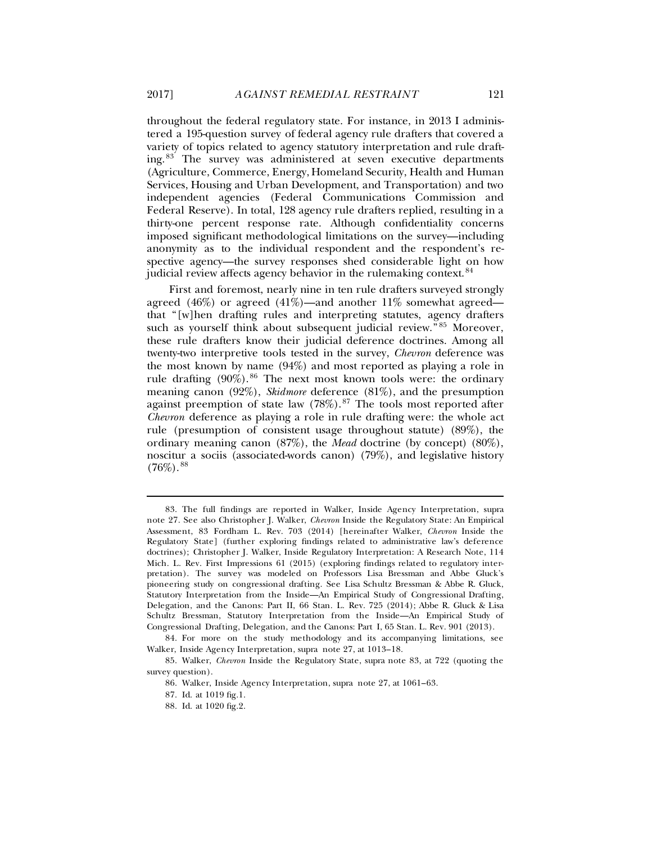<span id="page-15-0"></span>throughout the federal regulatory state. For instance, in 2013 I administered a 195-question survey of federal agency rule drafters that covered a variety of topics related to agency statutory interpretation and rule drafting. [83](#page-15-1) The survey was administered at seven executive departments (Agriculture, Commerce, Energy, Homeland Security, Health and Human Services, Housing and Urban Development, and Transportation) and two independent agencies (Federal Communications Commission and Federal Reserve). In total, 128 agency rule drafters replied, resulting in a thirty-one percent response rate. Although confidentiality concerns imposed significant methodological limitations on the survey—including anonymity as to the individual respondent and the respondent's respective agency—the survey responses shed considerable light on how judicial review affects agency behavior in the rulemaking context.<sup>[84](#page-15-2)</sup>

First and foremost, nearly nine in ten rule drafters surveyed strongly agreed (46%) or agreed (41%)—and another  $11\%$  somewhat agreed that "[w]hen drafting rules and interpreting statutes, agency drafters such as yourself think about subsequent judicial review."<sup>[85](#page-15-3)</sup> Moreover, these rule drafters know their judicial deference doctrines. Among all twenty-two interpretive tools tested in the survey, *Chevron* deference was the most known by name (94%) and most reported as playing a role in rule drafting  $(90\%)$ . <sup>[86](#page-15-4)</sup> The next most known tools were: the ordinary meaning canon (92%), *Skidmore* deference (81%), and the presumption against preemption of state law  $(78\%)$ .<sup>[87](#page-15-5)</sup> The tools most reported after *Chevron* deference as playing a role in rule drafting were: the whole act rule (presumption of consistent usage throughout statute) (89%), the ordinary meaning canon (87%), the *Mead* doctrine (by concept) (80%), noscitur a sociis (associated-words canon) (79%), and legislative history  $(76\%)$ .  $88$ 

<span id="page-15-1"></span><sup>83.</sup> The full findings are reported in Walker, Inside Agency Interpretation, supra note [27.](#page-4-4) See also Christopher J. Walker, *Chevron* Inside the Regulatory State: An Empirical Assessment, 83 Fordham L. Rev. 703 (2014) [hereinafter Walker, *Chevron* Inside the Regulatory State] (further exploring findings related to administrative law's deference doctrines); Christopher J. Walker, Inside Regulatory Interpretation: A Research Note, 114 Mich. L. Rev. First Impressions 61 (2015) (exploring findings related to regulatory interpretation). The survey was modeled on Professors Lisa Bressman and Abbe Gluck's pioneering study on congressional drafting. See Lisa Schultz Bressman & Abbe R. Gluck, Statutory Interpretation from the Inside—An Empirical Study of Congressional Drafting, Delegation, and the Canons: Part II, 66 Stan. L. Rev. 725 (2014); Abbe R. Gluck & Lisa Schultz Bressman, Statutory Interpretation from the Inside—An Empirical Study of Congressional Drafting, Delegation, and the Canons: Part I, 65 Stan. L. Rev. 901 (2013).

<span id="page-15-2"></span><sup>84.</sup> For more on the study methodology and its accompanying limitations, see Walker, Inside Agency Interpretation, supra note [27,](#page-4-4) at 1013–18.

<span id="page-15-6"></span><span id="page-15-5"></span><span id="page-15-4"></span><span id="page-15-3"></span><sup>85.</sup> Walker, *Chevron* Inside the Regulatory State, supra note [83,](#page-15-0) at 722 (quoting the survey question).

<sup>86.</sup> Walker, Inside Agency Interpretation, supra note [27,](#page-4-4) at 1061–63.

<sup>87.</sup> Id. at 1019 fig.1.

<sup>88.</sup> Id. at 1020 fig.2.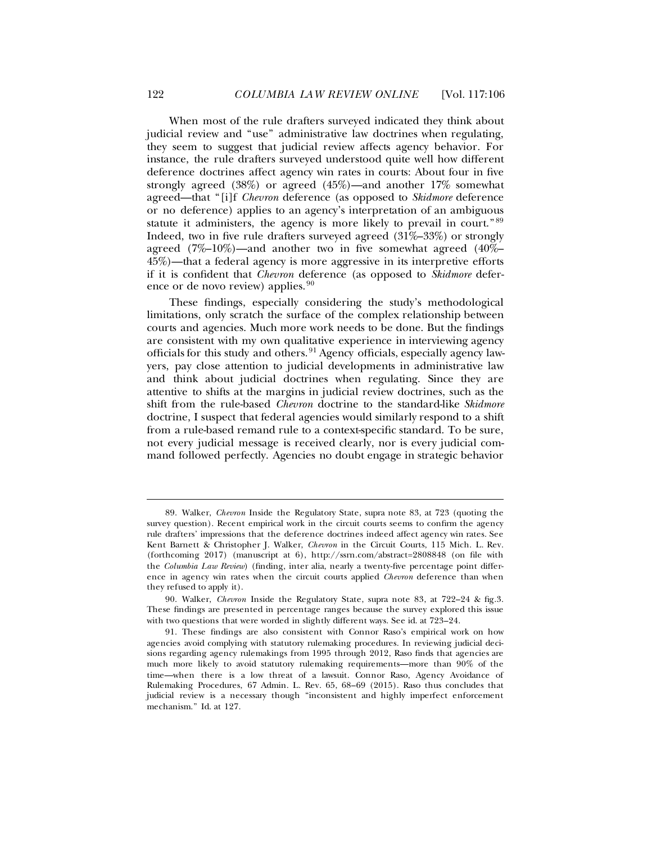When most of the rule drafters surveyed indicated they think about judicial review and "use" administrative law doctrines when regulating, they seem to suggest that judicial review affects agency behavior. For instance, the rule drafters surveyed understood quite well how different deference doctrines affect agency win rates in courts: About four in five strongly agreed (38%) or agreed (45%)—and another 17% somewhat agreed—that "[i]f *Chevron* deference (as opposed to *Skidmore* deference or no deference) applies to an agency's interpretation of an ambiguous statute it administers, the agency is more likely to prevail in court."<sup>[89](#page-16-0)</sup> Indeed, two in five rule drafters surveyed agreed (31%–33%) or strongly agreed (7%–10%)—and another two in five somewhat agreed (40%– 45%)—that a federal agency is more aggressive in its interpretive efforts if it is confident that *Chevron* deference (as opposed to *Skidmore* defer-ence or de novo review) applies.<sup>[90](#page-16-1)</sup>

These findings, especially considering the study's methodological limitations, only scratch the surface of the complex relationship between courts and agencies. Much more work needs to be done. But the findings are consistent with my own qualitative experience in interviewing agency officials for this study and others. [91](#page-16-2) Agency officials, especially agency lawyers, pay close attention to judicial developments in administrative law and think about judicial doctrines when regulating. Since they are attentive to shifts at the margins in judicial review doctrines, such as the shift from the rule-based *Chevron* doctrine to the standard-like *Skidmore* doctrine, I suspect that federal agencies would similarly respond to a shift from a rule-based remand rule to a context-specific standard. To be sure, not every judicial message is received clearly, nor is every judicial command followed perfectly. Agencies no doubt engage in strategic behavior

ı

<span id="page-16-0"></span><sup>89.</sup> Walker, *Chevron* Inside the Regulatory State, supra note [83,](#page-15-0) at 723 (quoting the survey question). Recent empirical work in the circuit courts seems to confirm the agency rule drafters' impressions that the deference doctrines indeed affect agency win rates. See Kent Barnett & Christopher J. Walker, *Chevron* in the Circuit Courts, 115 Mich. L. Rev. (forthcoming 2017) (manuscript at 6), http://ssrn.com/abstract=2808848 (on file with the *Columbia Law Review*) (finding, inter alia, nearly a twenty-five percentage point difference in agency win rates when the circuit courts applied *Chevron* deference than when they refused to apply it).

<span id="page-16-1"></span><sup>90.</sup> Walker, *Chevron* Inside the Regulatory State, supra note [83,](#page-15-0) at 722–24 & fig.3. These findings are presented in percentage ranges because the survey explored this issue with two questions that were worded in slightly different ways. See id. at 723–24.

<span id="page-16-2"></span><sup>91.</sup> These findings are also consistent with Connor Raso's empirical work on how agencies avoid complying with statutory rulemaking procedures. In reviewing judicial decisions regarding agency rulemakings from 1995 through 2012, Raso finds that agencies are much more likely to avoid statutory rulemaking requirements—more than 90% of the time—when there is a low threat of a lawsuit. Connor Raso, Agency Avoidance of Rulemaking Procedures, 67 Admin. L. Rev. 65, 68–69 (2015). Raso thus concludes that judicial review is a necessary though "inconsistent and highly imperfect enforcement mechanism." Id. at 127.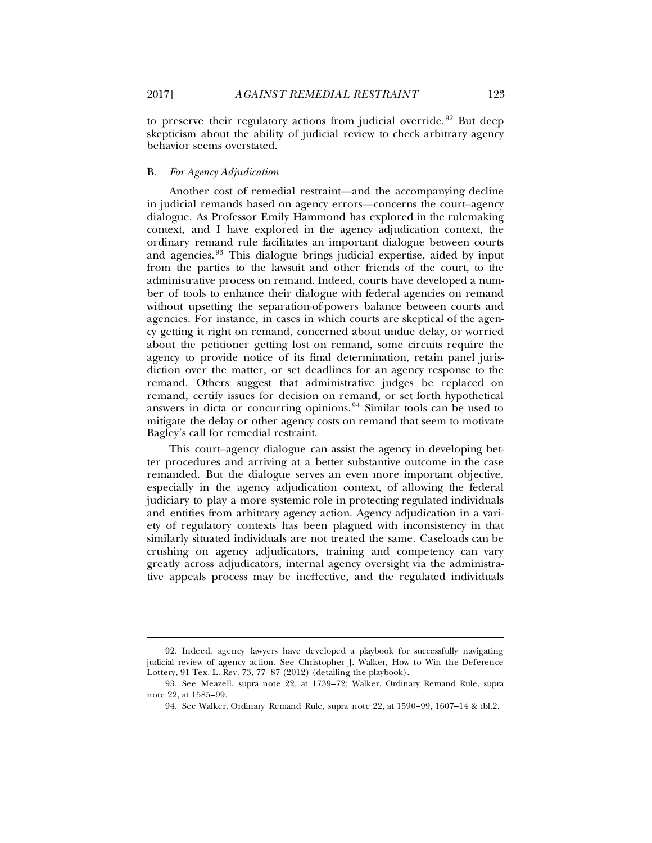to preserve their regulatory actions from judicial override.<sup>[92](#page-17-0)</sup> But deep skepticism about the ability of judicial review to check arbitrary agency behavior seems overstated.

#### B*. For Agency Adjudication*

Another cost of remedial restraint—and the accompanying decline in judicial remands based on agency errors—concerns the court–agency dialogue. As Professor Emily Hammond has explored in the rulemaking context, and I have explored in the agency adjudication context, the ordinary remand rule facilitates an important dialogue between courts and agencies. [93](#page-17-1) This dialogue brings judicial expertise, aided by input from the parties to the lawsuit and other friends of the court, to the administrative process on remand. Indeed, courts have developed a number of tools to enhance their dialogue with federal agencies on remand without upsetting the separation-of-powers balance between courts and agencies. For instance, in cases in which courts are skeptical of the agency getting it right on remand, concerned about undue delay, or worried about the petitioner getting lost on remand, some circuits require the agency to provide notice of its final determination, retain panel jurisdiction over the matter, or set deadlines for an agency response to the remand. Others suggest that administrative judges be replaced on remand, certify issues for decision on remand, or set forth hypothetical answers in dicta or concurring opinions. [94](#page-17-2) Similar tools can be used to mitigate the delay or other agency costs on remand that seem to motivate Bagley's call for remedial restraint.

This court–agency dialogue can assist the agency in developing better procedures and arriving at a better substantive outcome in the case remanded. But the dialogue serves an even more important objective, especially in the agency adjudication context, of allowing the federal judiciary to play a more systemic role in protecting regulated individuals and entities from arbitrary agency action. Agency adjudication in a variety of regulatory contexts has been plagued with inconsistency in that similarly situated individuals are not treated the same. Caseloads can be crushing on agency adjudicators, training and competency can vary greatly across adjudicators, internal agency oversight via the administrative appeals process may be ineffective, and the regulated individuals

<span id="page-17-0"></span><sup>92.</sup> Indeed, agency lawyers have developed a playbook for successfully navigating judicial review of agency action. See Christopher J. Walker, How to Win the Deference Lottery, 91 Tex. L. Rev. 73, 77–87 (2012) (detailing the playbook).

<span id="page-17-2"></span><span id="page-17-1"></span><sup>93.</sup> See Meazell, supra note [22,](#page-3-8) at 1739–72; Walker, Ordinary Remand Rule, supra note [22,](#page-3-8) at 1585–99.

<sup>94.</sup> See Walker, Ordinary Remand Rule, supra note [22,](#page-3-8) at 1590–99, 1607–14 & tbl.2.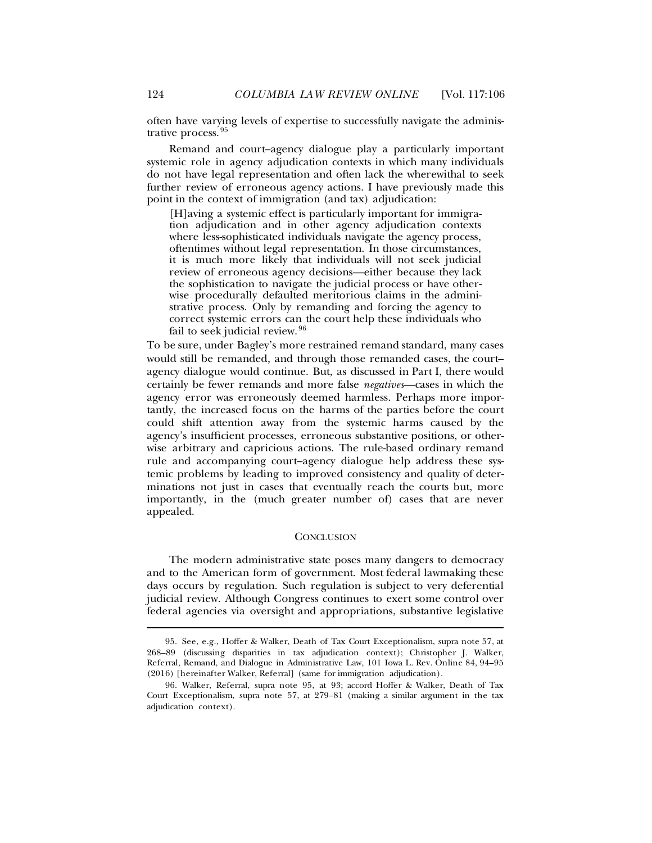<span id="page-18-0"></span>often have varying levels of expertise to successfully navigate the administrative process. [95](#page-18-1)

Remand and court–agency dialogue play a particularly important systemic role in agency adjudication contexts in which many individuals do not have legal representation and often lack the wherewithal to seek further review of erroneous agency actions. I have previously made this point in the context of immigration (and tax) adjudication:

[H]aving a systemic effect is particularly important for immigration adjudication and in other agency adjudication contexts where less-sophisticated individuals navigate the agency process, oftentimes without legal representation. In those circumstances, it is much more likely that individuals will not seek judicial review of erroneous agency decisions—either because they lack the sophistication to navigate the judicial process or have otherwise procedurally defaulted meritorious claims in the administrative process. Only by remanding and forcing the agency to correct systemic errors can the court help these individuals who fail to seek judicial review. [96](#page-18-2)

To be sure, under Bagley's more restrained remand standard, many cases would still be remanded, and through those remanded cases, the court– agency dialogue would continue. But, as discussed in Part I, there would certainly be fewer remands and more false *negatives*—cases in which the agency error was erroneously deemed harmless. Perhaps more importantly, the increased focus on the harms of the parties before the court could shift attention away from the systemic harms caused by the agency's insufficient processes, erroneous substantive positions, or otherwise arbitrary and capricious actions. The rule-based ordinary remand rule and accompanying court–agency dialogue help address these systemic problems by leading to improved consistency and quality of determinations not just in cases that eventually reach the courts but, more importantly, in the (much greater number of) cases that are never appealed.

### **CONCLUSION**

The modern administrative state poses many dangers to democracy and to the American form of government. Most federal lawmaking these days occurs by regulation. Such regulation is subject to very deferential judicial review. Although Congress continues to exert some control over federal agencies via oversight and appropriations, substantive legislative

<span id="page-18-1"></span><sup>95.</sup> See, e.g., Hoffer & Walker, Death of Tax Court Exceptionalism, supra note [57,](#page-10-9) at 268–89 (discussing disparities in tax adjudication context); Christopher J. Walker, Referral, Remand, and Dialogue in Administrative Law, 101 Iowa L. Rev. Online 84, 94–95 (2016) [hereinafter Walker, Referral] (same for immigration adjudication).

<span id="page-18-2"></span><sup>96.</sup> Walker, Referral, supra note [95,](#page-18-0) at 93; accord Hoffer & Walker, Death of Tax Court Exceptionalism, supra note [57,](#page-10-9) at 279–81 (making a similar argument in the tax adjudication context).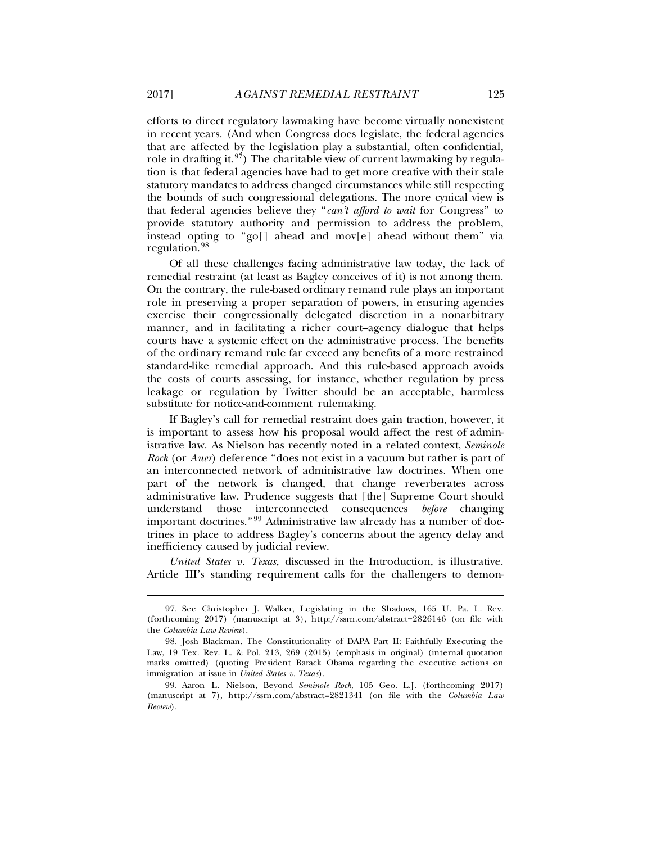efforts to direct regulatory lawmaking have become virtually nonexistent in recent years. (And when Congress does legislate, the federal agencies that are affected by the legislation play a substantial, often confidential, role in drafting it.  $97$ ) The charitable view of current lawmaking by regulation is that federal agencies have had to get more creative with their stale statutory mandates to address changed circumstances while still respecting the bounds of such congressional delegations. The more cynical view is that federal agencies believe they "*can't afford to wait* for Congress" to provide statutory authority and permission to address the problem, instead opting to "go[] ahead and mov[e] ahead without them" via regulation. [98](#page-19-1)

Of all these challenges facing administrative law today, the lack of remedial restraint (at least as Bagley conceives of it) is not among them. On the contrary, the rule-based ordinary remand rule plays an important role in preserving a proper separation of powers, in ensuring agencies exercise their congressionally delegated discretion in a nonarbitrary manner, and in facilitating a richer court–agency dialogue that helps courts have a systemic effect on the administrative process. The benefits of the ordinary remand rule far exceed any benefits of a more restrained standard-like remedial approach. And this rule-based approach avoids the costs of courts assessing, for instance, whether regulation by press leakage or regulation by Twitter should be an acceptable, harmless substitute for notice-and-comment rulemaking.

If Bagley's call for remedial restraint does gain traction, however, it is important to assess how his proposal would affect the rest of administrative law. As Nielson has recently noted in a related context, *Seminole Rock* (or *Auer*) deference "does not exist in a vacuum but rather is part of an interconnected network of administrative law doctrines. When one part of the network is changed, that change reverberates across administrative law. Prudence suggests that [the] Supreme Court should understand those interconnected consequences *before* changing important doctrines." [99](#page-19-2) Administrative law already has a number of doctrines in place to address Bagley's concerns about the agency delay and inefficiency caused by judicial review.

*United States v. Texas*, discussed in the Introduction, is illustrative. Article III's standing requirement calls for the challengers to demon-

ı

<span id="page-19-0"></span><sup>97.</sup> See Christopher J. Walker, Legislating in the Shadows, 165 U. Pa. L. Rev. (forthcoming 2017) (manuscript at 3), http://ssrn.com/abstract=2826146 (on file with the *Columbia Law Review*).

<span id="page-19-1"></span><sup>98.</sup> Josh Blackman, The Constitutionality of DAPA Part II: Faithfully Executing the Law, 19 Tex. Rev. L. & Pol. 213, 269 (2015) (emphasis in original) (internal quotation marks omitted) (quoting President Barack Obama regarding the executive actions on immigration at issue in *United States v. Texas*).

<span id="page-19-2"></span><sup>99.</sup> Aaron L. Nielson, Beyond *Seminole Rock*, 105 Geo. L.J. (forthcoming 2017) (manuscript at 7), http://ssrn.com/abstract=2821341 (on file with the *Columbia Law Review*).